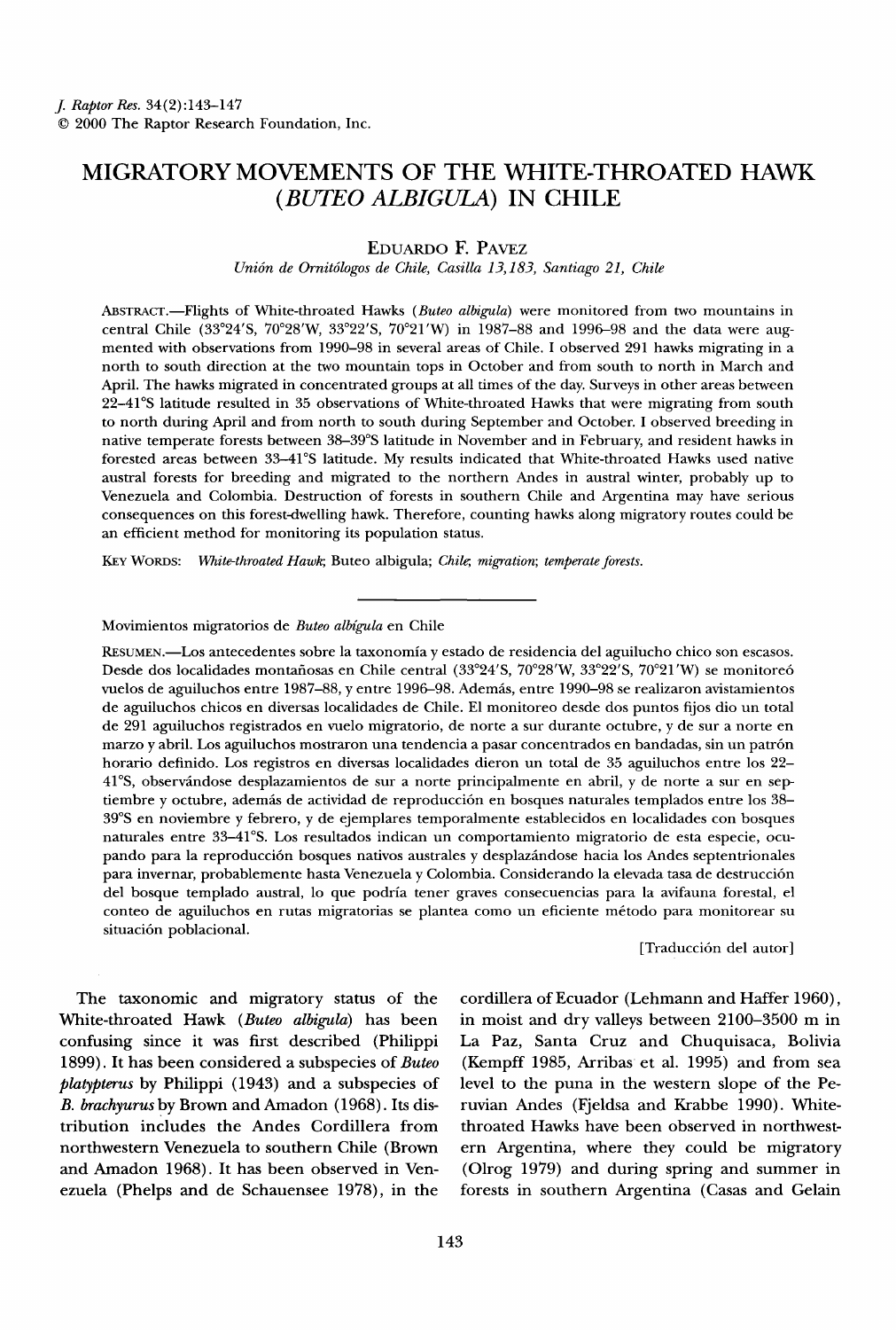# **MIGRATORY MOVEMENTS OF THE WHITE-THROATED HAWK (BUTEO ALBIGULA) IN CHILE**

**EDUARDO E PAVEZ** 

**Uni6n de Ornit6logos de Chile, Casilla 13,183, Santiago 21, Chile** 

ABSTRACT.—Flights of White-throated Hawks (Buteo albigula) were monitored from two mountains in central Chile (33°24'S, 70°28'W, 33°22'S, 70°21'W) in 1987-88 and 1996-98 and the data were aug**mented with observations from 1990-98 in several areas of Chile. I observed 291 hawks migrating in a north to south direction at the two mountain tops in October and from south to north in March and April. The hawks migrated in concentrated groups at all times of the day. Surveys in other areas between 22-41øS latitude resulted in 35 observations of White-throated Hawks that were migrating from south to north during April and from north to south during September and October. I observed breeding in native temperate forests between 38-39øS latitude in November and in February, and resident hawks in**  forested areas between 33-41°S latitude. My results indicated that White-throated Hawks used native **austral forests for breeding and migrated to the northern Andes in austral winter, probably up to Venezuela and Colombia. Destruction of forests in southern Chile and Argentina may have serious consequences on this forest-dwelling hawk. Therefore, counting hawks along migratory routes could be an efficient method for monitoring its population status.** 

KEY WORDS: White-throated Hawk; Buteo albigula; Chile; migration; temperate forests.

# Movimientos migratorios de Buteo albígula en Chile

**RESUMEN.•Los antecedentes sobre la taxonomia y estado de residencia del aguilucho chico son escasos.**  Desde dos localidades montañosas en Chile central (33°24'S, 70°28'W, 33°22'S, 70°21'W) se monitoreó **vuelos de aguiluchos entre 1987-88, y entre 1996-98. Ademfis, entre 1990-98 se realizaron avistamientos de aguiluchos chicos en diversas localidades de Chile. E1 monitoreo desde dos puntos fijos dio un total de 291 aguiluchos registrados en vuelo migratorio, de norte a sur durante octubre, y de sur a norte en marzo y abril. Los aguiluchos mostraron una tendencia a pasar concentrados en bandadas, sin un patr6n horario definido. Los registros en diversas localidades dieron un total de 35 aguiluchos entre los 22- 41øS, observfindose desplazamientos de sur a norte principalmente en abril, y de norte a sur en sep**tiembre y octubre, además de actividad de reproducción en bosques naturales templados entre los 38-**39øS en noviembre y febrero, y de ejemplares temporalmente establecidos en localidades con bosques naturales entre 33-41%. Los resultados indican un comportamiento migratorio de esta especie, ocupando para la reproducci6n bosques nativos australes y desplazfindose hacia los Andes septentrionales para invernar, probablemente hasta Venezuela y Colombia. Considerando la elevada tasa de destrucci6n del bosque templado austral, lo que podria tener graves consecuencias para la avifauna forestal, el conteo de aguiluchos en rutas migratorias se plantea como un eficiente m6todo para monitorear su**  situación poblacional.

**[Traducci6n del autor]** 

**The taxonomic and migratory status of the White-throated Hawk (Buteo albigula) has been confusing since it was first described (Philippi 1899). It has been considered a subspecies of Buteo platypterus by Philippi (1943) and a subspecies of B. brachyurus by Brown and Amadon (1968). Its distribution includes the Andes Cordillera from northwestern Venezuela to southern Chile (Brown**  and Amadon 1968). It has been observed in Ven**ezuela (Phelps and de Schauensee 1978), in the** 

**cordillera of Ecuador (Lehmann and Haffer 1960), in moist and dry valleys between 2100-3500 m in La Paz, Santa Cruz and Chuquisaca, Bolivia (Kempff 1985, Arribas et al. 1995) and from sea level to the puna in the western slope of the Peruvian Andes (Fjeldsa and Krabbe 1990). Whitethroated Hawks have been observed in northwestern Argentina, where they could be migratory (Olrog 1979) and during spring and summer in forests in southern Argentina (Casas and Gelain**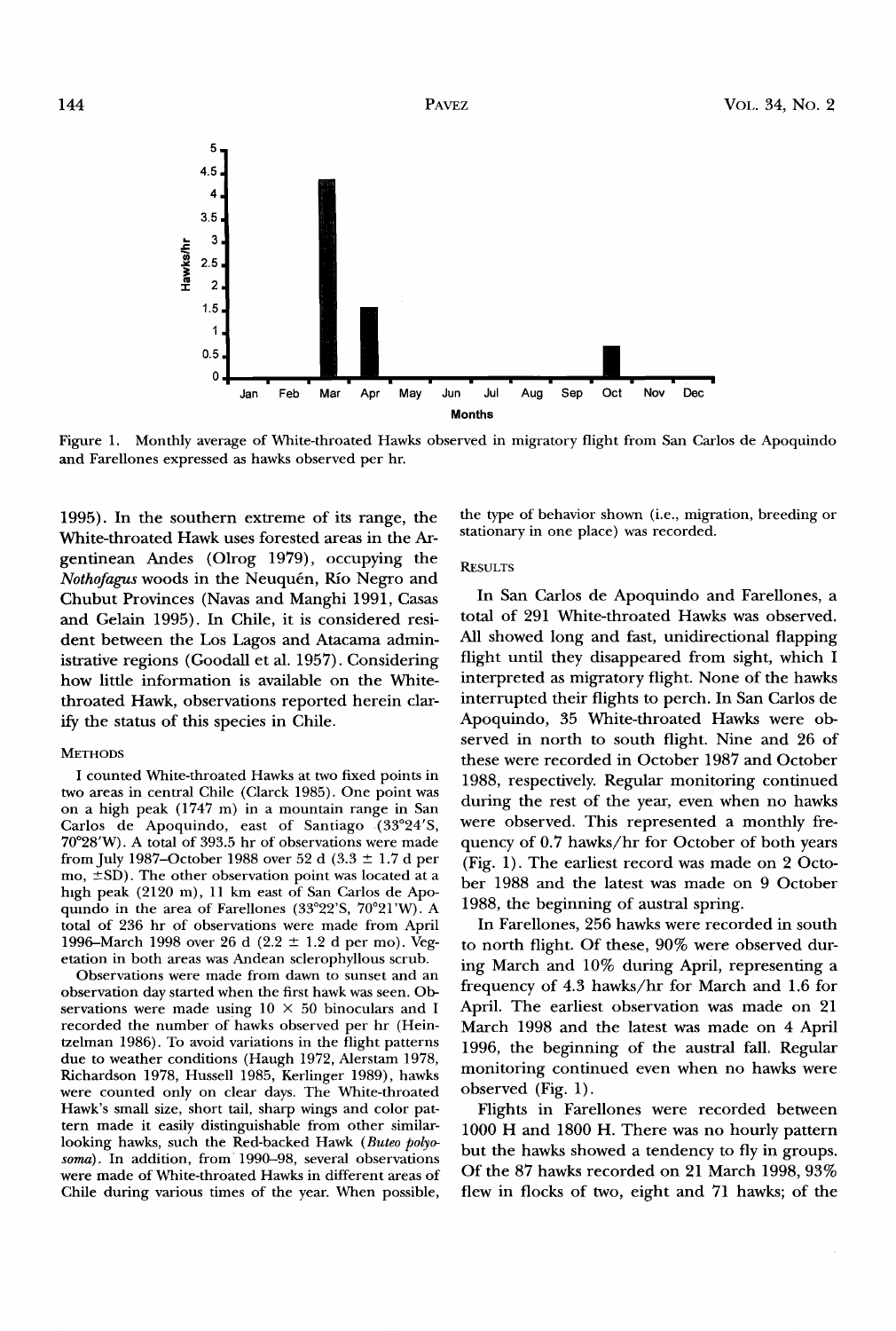

**Figure 1. Monthly average of White-throated Hawks observed in migratory flight from San Carlos de Apoquindo and Farellones expressed as hawks observed per hr.** 

**1995). In the southern extreme of its range, the White-throated Hawk uses forested areas in the Argentinean Andes (Olrog 1979), occupying the**  Nothofagus woods in the Neuquén, Río Negro and **Chubut Provinces (Navas and Manghi 1991, Casas and Gelain 1995). In Chile, it is considered resident between the Los Lagos and Atacama administrative regions (Goodall et al. 1957). Considering how little information is available on the Whitethroated Hawk, observations reported herein clarify the status of this species in Chile.** 

#### **METHODS**

**I counted White-throated Hawks at two fixed points in two areas in central Chile (Clarck 1985). One point was on a high peak (1747 m) in a mountain range in San Carlos de Apoquindo, east of Santiago (33ø24'S, 70ø28'W). A total of 393.5 hr of observations were made**  from July 1987–October 1988 over 52 d (3.3  $\pm$  1.7 d per mo,  $\pm$ SD). The other observation point was located at a **high peak (2120 m), 11 km east of San Carlos de Apo**quindo in the area of Farellones (33°22'S, 70°21'W). A **total of 236 hr of observations were made from April**  1996-March 1998 over 26 d (2.2  $\pm$  1.2 d per mo). Veg**etation in both areas was Andean sclerophyllous scrub.** 

**Observations were made from dawn to sunset and an observation day started when the first hawk was seen. Observations were made using 10 X 50 binoculars and I recorded the number of hawks observed per hr (Heintzelman 1986). To avoid variations in the flight patterns due to weather conditions (Haugh 1972, Alerstam 1978, Richardson 1978, Hussell 1985, Kerlinger 1989), hawks were counted only on clear days. The White-throated Hawk's small size, short tail, sharp wings and color pattern made it easily distinguishable from other similarlooking hawks, such the Red-backed Hawk (Buteo polyosoma). In addition, from 1990-98, several observations were made of White-throated Hawks in different areas of Chile during various times of the year. When possible,**  **the type of behavior shown (i.e., migration, breeding or stationary in one place) was recorded.** 

## **RESULTS**

**In San Carlos de Apoquindo and Farellones, a total of 291 White-throated Hawks was observed. All showed long and fast, unidirectional flapping flight until they disappeared from sight, which I interpreted as migratory flight. None of the hawks interrupted their flights to perch. In San Carlos de Apoquindo, 35 White-throated Hawks were observed in north to south flight. Nine and 26 of these were recorded in October 1987 and October 1988, respectively. Regular monitoring continued during the rest of the year, even when no hawks were observed. This represented a monthly frequency of 0.7 hawks/hr for October of both years (Fig. 1). The earliest record was made on 2 October 1988 and the latest was made on 9 October 1988, the beginning of austral spring.** 

**In Farellones, 256 hawks were recorded in south to north flight. Of these, 90% were observed during March and 10% during April, representing a frequency of 4.3 hawks/hr for March and 1.6 for April. The earliest observation was made on 21 March 1998 and the latest was made on 4 April 1996, the beginning of the austral fall. Regular monitoring continued even when no hawks were observed (Fig. 1).** 

**Flights in Farellones were recorded between 1000 H and 1800 H. There was no hourly pattern but the hawks showed a tendency to fly in groups. Of the 87 hawks recorded on 21 March 1998, 93% flew in flocks of two, eight and 71 hawks; of the**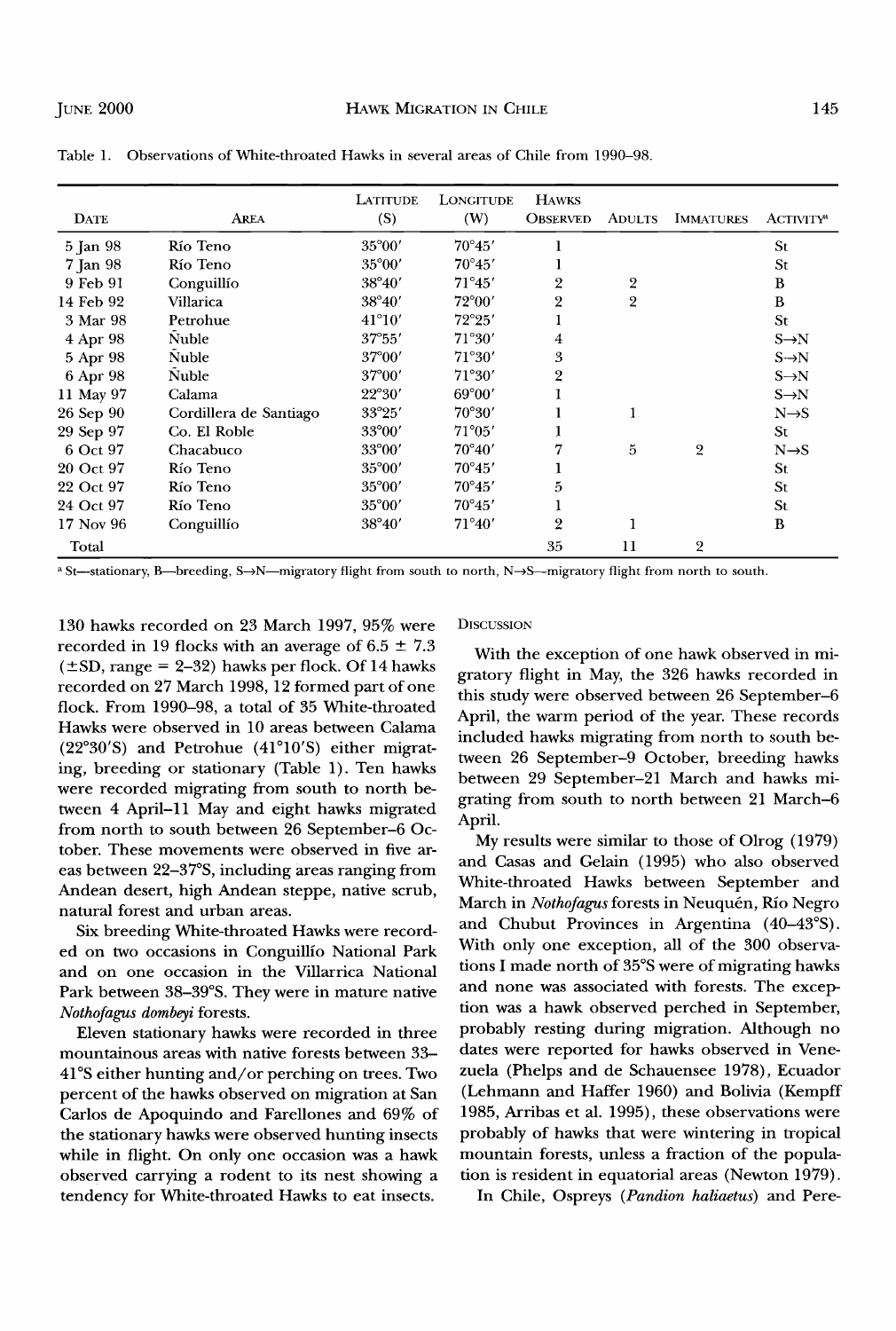| <b>DATE</b> | <b>AREA</b>            | LATITUDE<br>(S) | <b>LONGITUDE</b><br>(W) | <b>HAWKS</b><br><b>OBSERVED</b> | <b>ADULTS</b>  | <b>IMMATURES</b> | <b>ACTIVITY<sup>4</sup></b> |
|-------------|------------------------|-----------------|-------------------------|---------------------------------|----------------|------------------|-----------------------------|
| 5 Jan 98    | Río Teno               | 35°00'          | $70^{\circ}45'$         |                                 |                |                  | St                          |
| 7 Jan 98    | Río Teno               | $35^{\circ}00'$ | $70^{\circ}45'$         |                                 |                |                  | St                          |
| 9 Feb 91    | Conguillío             | $38^{\circ}40'$ | $71^{\circ}45'$         | 2                               | 2              |                  | B                           |
| 14 Feb 92   | Villarica              | $38^{\circ}40'$ | $72^{\circ}00'$         | $\overline{2}$                  | $\overline{2}$ |                  | B                           |
| 3 Mar 98    | Petrohue               | $41^{\circ}10'$ | $72^{\circ}25'$         |                                 |                |                  | <b>St</b>                   |
| 4 Apr 98    | Nuble                  | $37^{\circ}55'$ | 71°30'                  | 4                               |                |                  | $S \rightarrow N$           |
| 5 Apr 98    | Nuble                  | $37^{\circ}00'$ | 71°30'                  | 3                               |                |                  | $S \rightarrow N$           |
| 6 Apr 98    | <b>Nuble</b>           | $37^{\circ}00'$ | 71°30'                  | 2                               |                |                  | $S \rightarrow N$           |
| 11 May 97   | Calama                 | 22°30'          | $69^{\circ}00'$         |                                 |                |                  | $S \rightarrow N$           |
| 26 Sep 90   | Cordillera de Santiago | $33^{\circ}25'$ | $70^{\circ}30'$         |                                 |                |                  | $N \rightarrow S$           |
| 29 Sep 97   | Co. El Roble           | 33°00'          | $71^{\circ}05'$         |                                 |                |                  | <b>St</b>                   |
| 6 Oct 97    | Chacabuco              | 33°00'          | $70^{\circ}40'$         |                                 | 5              | $\overline{2}$   | $N \rightarrow S$           |
| 20 Oct 97   | Río Teno               | $35^{\circ}00'$ | $70^{\circ}45'$         |                                 |                |                  | St.                         |
| 22 Oct 97   | Río Teno               | $35^{\circ}00'$ | $70^{\circ}45'$         | 5                               |                |                  | St.                         |
| 24 Oct 97   | Río Teno               | $35^{\circ}00'$ | $70^{\circ}45'$         |                                 |                |                  | St                          |
| 17 Nov 96   | Conguillío             | $38^{\circ}40'$ | $71^{\circ}40'$         | $\overline{2}$                  |                |                  | B                           |
| Total       |                        |                 |                         | 35                              | 11             | $\overline{2}$   |                             |

**Table 1. Observations of White-throated Hawks in several areas of Chile from 1990-98.** 

**St—stationary, B—breeding, S->N—migratory flight from south to north, N->S—migratory flight from north to south.** 

**130 hawks recorded on 23 March 1997, 95% were**  recorded in 19 flocks with an average of  $6.5 \pm 7.3$  $(\pm SD, \text{range} = 2-32)$  hawks per flock. Of 14 hawks **recorded on 27 March 1998, 12 formed part of one flock. From 1990-98, a total of 35 White-throated Hawks were observed in 10 areas between Calama**  (22°30'S) and Petrohue (41°10'S) either migrat**ing, breeding or stationary (Table 1). Ten hawks were recorded migrating from south to north between 4 April-ll May and eight hawks migrated from north to south between 26 September-6 October. These movements were observed in five areas between 22-37øS, including areas ranging from Andean desert, high Andean steppe, native scrub, natural forest and urban areas.** 

**Six breeding White-throated Hawks were recorded on two occasions in Conguillio National Park and on one occasion in the Villarrica National**  Park between 38-39°S. They were in mature native **Nothofagus dombeyi forests.** 

**Eleven stationary hawks were recorded in three mountainous areas with native forests between 33- 41øS either hunting and/or perching on trees. Two percent of the hawks observed on migration at San Carlos de Apoquindo and Farellones and 69% of the stationary hawks were observed hunting insects while in flight. On only one occasion was a hawk observed carrying a rodent to its nest showing a tendency for White-throated Hawks to eat insects.** 

### **DISCUSSION**

**With the exception of one hawk observed in migratory flight in May, the 326 hawks recorded in this study were observed between 26 September-6 April, the warm period of the year. These records included hawks migrating from north to south between 26 September-9 October, breeding hawks between 29 September-21 March and hawks migrating from south to north between 21 March-6 April.** 

**My results were similar to those of Olrog (1979) and Casas and Gelain (1995) who also observed White-throated Hawks between September and**  March in Nothofagus forests in Neuquén, Río Negro and Chubut Provinces in Argentina (40–43°S). **With only one exception, all of the 300 observations I made north of 35øS were of migrating hawks and none was associated with forests. The exception was a hawk observed perched in September, probably resting during migration. Although no dates were reported for hawks observed in Venezuela (Phelps and de Schauensee 1978), Ecuador (Lehmann and Haffer 1960) and Bolivia (Kempff 1985, Arribas et al. 1995), these observations were probably of hawks that were wintering in tropical mountain forests, unless a fraction of the population is resident in equatorial areas (Newton 1979).** 

**In Chile, Ospreys (Pandion haliaetus) and Pere-**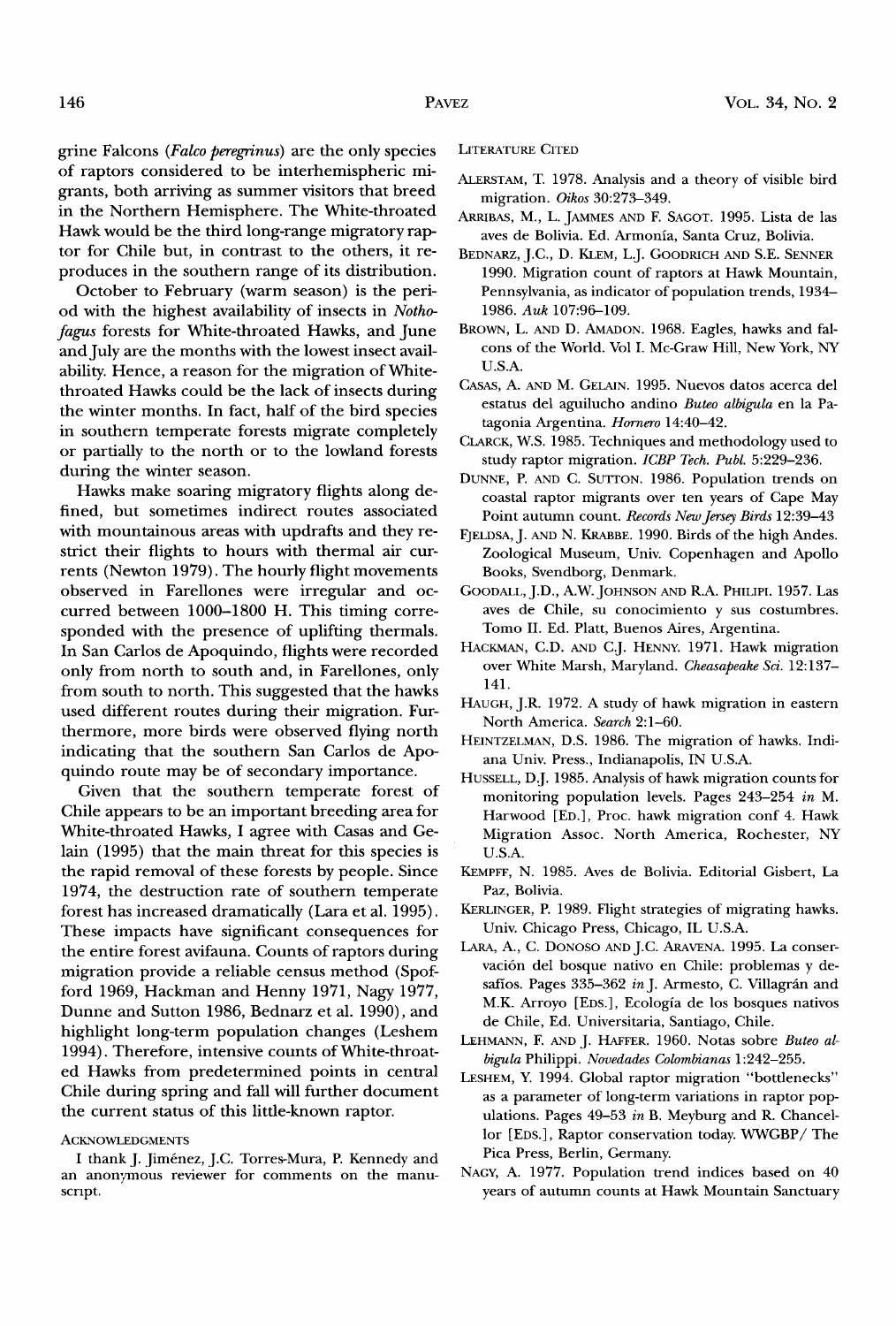**grine Falcons (Falco peregrinus) are the only species of raptors considered to be interhemispheric migrants, both arriving as summer visitors that breed in the Northern Hemisphere. The White-throated Hawk would be the third long-range migratory raptor for Chile but, in contrast to the others, it reproduces in the southern range of its distribution.** 

**October to February (warm season) is the period with the highest availability of insects in Nothofagus forests for White-throated Hawks, and June and July are the months with the lowest insect availability. Hence, a reason for the migration of Whitethroated Hawks could be the lack of insects during the winter months. In fact, half of the bird species in southern temperate forests migrate completely or partially to the north or to the lowland forests during the winter season.** 

**Hawks make soaring migratory flights along defined, but sometimes indirect routes associated with mountainous areas with updrafts and they restrict their flights to hours with thermal air currents (Newton 1979). The hourly flight movements observed in Farellones were irregular and occurred between 1000-1800 H. This timing corresponded with the presence of uplifting thermals. In San Carlos de Apoquindo, flights were recorded only from north to south and, in Farellones, only from south to north. This suggested that the hawks used different routes during their migration. Furthermore, more birds were observed flying north indicating that the southern San Carlos de Apoquindo route may be of secondary importance.** 

**Given that the southern temperate forest of Chile appears to be an important breeding area for White-throated Hawks, I agree with Casas and Gelain (1995) that the main threat for this species is the rapid removal of these forests by people. Since 1974, the destruction rate of southern temperate forest has increased dramatically (Lara et al. 1995). These impacts have significant consequences for the entire forest avifauna. Counts of raptors during migration provide a reliable census method (Spofford 1969, Hackman and Henny 1971, Nagy 1977, Dunne and Sutton 1986, Bednarz et al. 1990), and highlight long-term population changes (Leshem 1994). Therefore, intensive counts of White-throated Hawks from predetermined points in central Chile during spring and fall will further document the current status of this little-known raptor.** 

#### **ACKNOWLEDGMENTS**

I thank J. Jiménez, J.C. Torres-Mura, P. Kennedy and **an anonymous reviewer for comments on the manuscript.** 

**LITERATURE CITED** 

- **ALERSTAM, T. 1978. Analysis and a theory of visible bird migration. Oikos 30:273-349.**
- **ARRIBAS, M., L. JAMMES AND F. SAGOT. 1995. Lista de las aves de Bolivia. Ed. Armonia, Santa Cruz, Bolivia.**
- **BEDNARZ, J.C., D. KLEM, L.J. GOODRICH AND S.E. SENNER 1990. Migration count of raptors at Hawk Mountain, Pennsylvania, as indicator of population trends, 1934- 1986. Auk 107:96-109.**
- **BROWN, L. AND D. AMADON. 1968. Eagles, hawks and falcons of the World. Vol I. Mc-Graw Hill, New York, NY U.S.A.**
- CASAS, A. AND M. GELAIN. 1995. Nuevos datos acerca del estatus del aguilucho andino Buteo albigula en la Pa**tagonia Argentina. Hornero 14:40-42.**
- **CLARCK, W.S. 1985. Techniques and methodology used to study raptor migration. ICBP Tech. Publ. 5:229-236.**
- **DUNNE, P. AND C. SUTTON. 1986. Population trends on coastal raptor migrants over ten years of Cape May Point autumn count. Records New Jersey Birds 12:39-43**
- FJELDSA, J. AND N. KRABBE. 1990. Birds of the high Andes. **Zoological Museum, Univ. Copenhagen and Apollo Books, Svendborg, Denmark.**
- **GOODALL, J.D., A.W. JOHNSON AND R.A. PHILIPI. 1957. Las aves de Chile, su conocimiento y sus costumbres. Tomo II. Ed. Platt, Buenos Aires, Argentina.**
- **HACKMAN, C.D. AND C.J. HENNY. 1971. Hawk migration**  over White Marsh, Maryland. Cheasapeake Sci. 12:137-**141.**
- **HAUGH, J.R. 1972. A study of hawk migration in eastern North America. Search 2:1-60.**
- **HEINTZELMAN, D.S. 1986. The migration of hawks. Indiana Univ. Press., Indianapolis, IN U.S.A.**
- **HUSSELL, D.J. 1985. Analysis of hawk migration counts for monitoring population levels. Pages 243-254 in M. Harwood [ED.], Proc. hawk migration conf 4. Hawk Migration Assoc. North America, Rochester, NY U.S.A.**
- **KEMPFF, N. 1985. Aves de Bolivia. Editorial Gisbert, La Paz, Bolivia.**
- KERLINGER, P. 1989. Flight strategies of migrating hawks. **Univ. Chicago Press, Chicago, IL U.S.A.**
- LARA, A., C. DONOSO AND J.C. ARAVENA. 1995. La conservación del bosque nativo en Chile: problemas y desafíos. Pages 335-362 in J. Armesto, C. Villagrán and **M.K. Arroyo [EDS.], Ecologia de los bosques nativos de Chile, Ed. Universitaria, Santiago, Chile.**
- LEHMANN, F. AND J. HAFFER. 1960. Notas sobre Buteo al**big'ula Philippi. Novedades Colombianas 1:242-255.**
- **LESHEM, Y. 1994. Global raptor migration "bottlenecks" as a parameter of long-term variations in raptor populations. Pages 49-53 in B. Meyburg and R. Chancellor [EDS.], Raptor conservation today. WWGBP/The Pica Press, Berlin, Germany.**
- **NAGY, A. 1977. Population trend indices based on 40 years of autumn counts at Hawk Mountain Sanctuary**